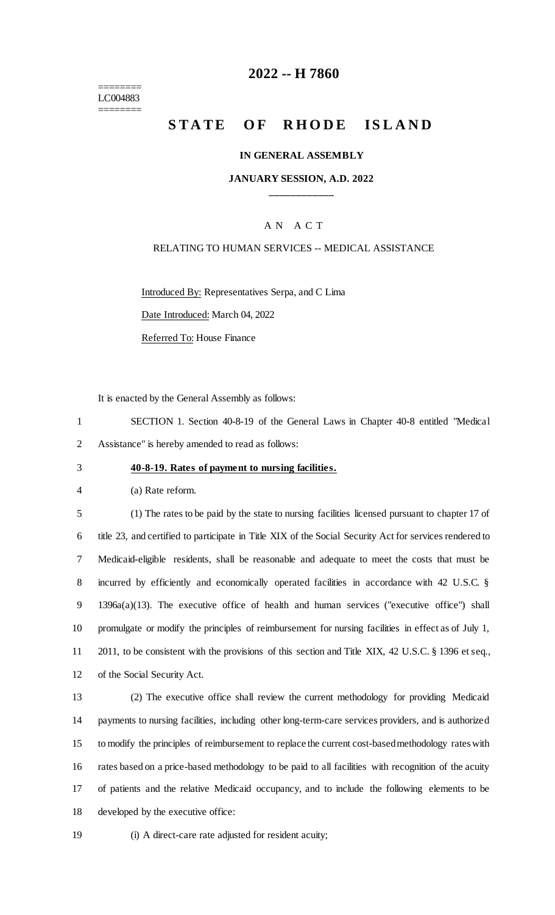======== LC004883 ========

# **-- H 7860**

# **STATE OF RHODE ISLAND**

### **IN GENERAL ASSEMBLY**

### **JANUARY SESSION, A.D. 2022 \_\_\_\_\_\_\_\_\_\_\_\_**

### A N A C T

### RELATING TO HUMAN SERVICES -- MEDICAL ASSISTANCE

Introduced By: Representatives Serpa, and C Lima

Date Introduced: March 04, 2022

Referred To: House Finance

It is enacted by the General Assembly as follows:

 SECTION 1. Section 40-8-19 of the General Laws in Chapter 40-8 entitled "Medical Assistance" is hereby amended to read as follows:

#### **40-8-19. Rates of payment to nursing facilities.**

(a) Rate reform.

 (1) The rates to be paid by the state to nursing facilities licensed pursuant to chapter 17 of title 23, and certified to participate in Title XIX of the Social Security Act for services rendered to Medicaid-eligible residents, shall be reasonable and adequate to meet the costs that must be incurred by efficiently and economically operated facilities in accordance with 42 U.S.C. § 1396a(a)(13). The executive office of health and human services ("executive office") shall promulgate or modify the principles of reimbursement for nursing facilities in effect as of July 1, 2011, to be consistent with the provisions of this section and Title XIX, 42 U.S.C. § 1396 et seq., of the Social Security Act.

 (2) The executive office shall review the current methodology for providing Medicaid payments to nursing facilities, including other long-term-care services providers, and is authorized to modify the principles of reimbursement to replace the current cost-based methodology rates with rates based on a price-based methodology to be paid to all facilities with recognition of the acuity of patients and the relative Medicaid occupancy, and to include the following elements to be developed by the executive office:

(i) A direct-care rate adjusted for resident acuity;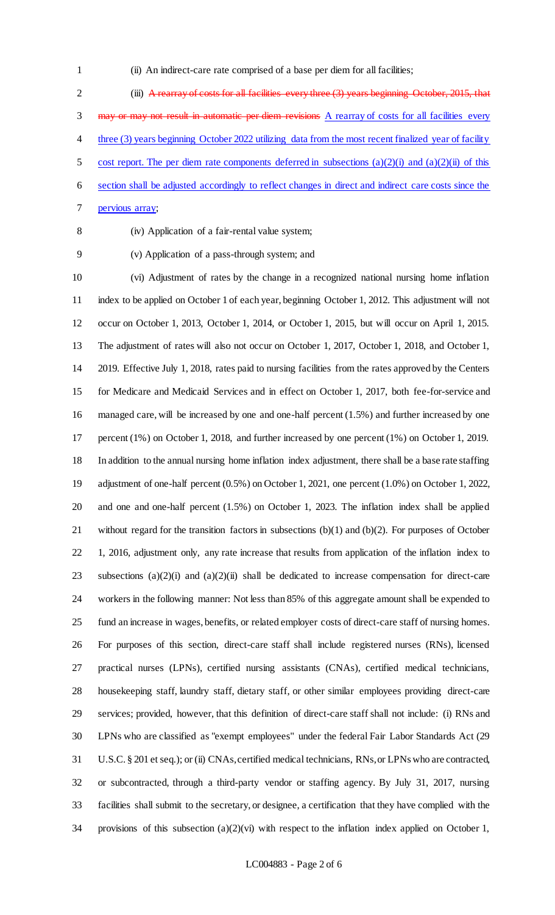(ii) An indirect-care rate comprised of a base per diem for all facilities;

 (iii) A rearray of costs for all facilities every three (3) years beginning October, 2015, that 3 may or may not result in automatic per diem revisions A rearray of costs for all facilities every three (3) years beginning October 2022 utilizing data from the most recent finalized year of facility 5 cost report. The per diem rate components deferred in subsections  $(a)(2)(i)$  and  $(a)(2)(ii)$  of this section shall be adjusted accordingly to reflect changes in direct and indirect care costs since the pervious array;

(iv) Application of a fair-rental value system;

(v) Application of a pass-through system; and

 (vi) Adjustment of rates by the change in a recognized national nursing home inflation index to be applied on October 1 of each year, beginning October 1, 2012. This adjustment will not occur on October 1, 2013, October 1, 2014, or October 1, 2015, but will occur on April 1, 2015. The adjustment of rates will also not occur on October 1, 2017, October 1, 2018, and October 1, 2019. Effective July 1, 2018, rates paid to nursing facilities from the rates approved by the Centers for Medicare and Medicaid Services and in effect on October 1, 2017, both fee-for-service and managed care, will be increased by one and one-half percent (1.5%) and further increased by one percent (1%) on October 1, 2018, and further increased by one percent (1%) on October 1, 2019. In addition to the annual nursing home inflation index adjustment, there shall be a base rate staffing adjustment of one-half percent (0.5%) on October 1, 2021, one percent (1.0%) on October 1, 2022, and one and one-half percent (1.5%) on October 1, 2023. The inflation index shall be applied without regard for the transition factors in subsections (b)(1) and (b)(2). For purposes of October 1, 2016, adjustment only, any rate increase that results from application of the inflation index to subsections (a)(2)(i) and (a)(2)(ii) shall be dedicated to increase compensation for direct-care workers in the following manner: Not less than 85% of this aggregate amount shall be expended to fund an increase in wages, benefits, or related employer costs of direct-care staff of nursing homes. For purposes of this section, direct-care staff shall include registered nurses (RNs), licensed practical nurses (LPNs), certified nursing assistants (CNAs), certified medical technicians, housekeeping staff, laundry staff, dietary staff, or other similar employees providing direct-care services; provided, however, that this definition of direct-care staff shall not include: (i) RNs and LPNs who are classified as "exempt employees" under the federal Fair Labor Standards Act (29 U.S.C. § 201 et seq.); or (ii) CNAs, certified medical technicians, RNs, or LPNs who are contracted, or subcontracted, through a third-party vendor or staffing agency. By July 31, 2017, nursing facilities shall submit to the secretary, or designee, a certification that they have complied with the provisions of this subsection (a)(2)(vi) with respect to the inflation index applied on October 1,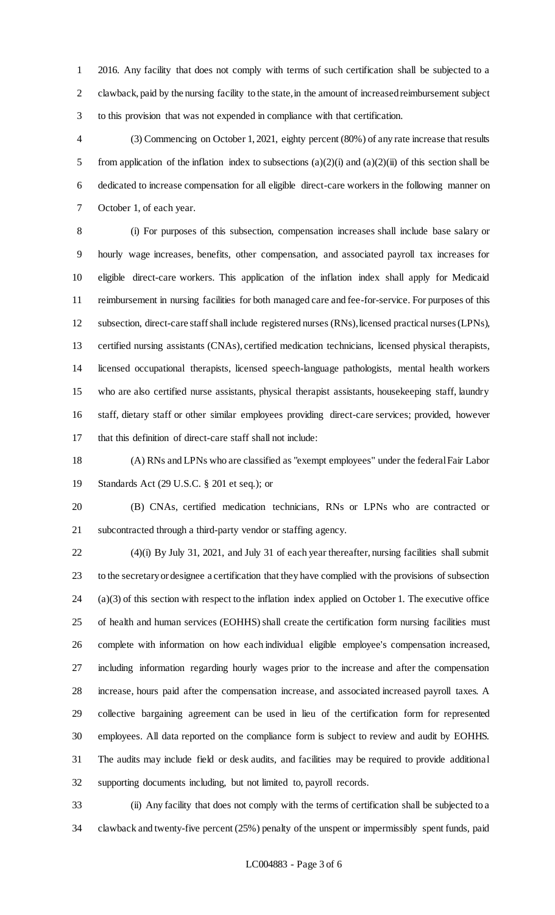2016. Any facility that does not comply with terms of such certification shall be subjected to a clawback, paid by the nursing facility to the state, in the amount of increased reimbursement subject to this provision that was not expended in compliance with that certification.

 (3) Commencing on October 1, 2021, eighty percent (80%) of any rate increase that results 5 from application of the inflation index to subsections  $(a)(2)(i)$  and  $(a)(2)(ii)$  of this section shall be dedicated to increase compensation for all eligible direct-care workers in the following manner on October 1, of each year.

 (i) For purposes of this subsection, compensation increases shall include base salary or hourly wage increases, benefits, other compensation, and associated payroll tax increases for eligible direct-care workers. This application of the inflation index shall apply for Medicaid reimbursement in nursing facilities for both managed care and fee-for-service. For purposes of this subsection, direct-care staff shall include registered nurses (RNs), licensed practical nurses (LPNs), certified nursing assistants (CNAs), certified medication technicians, licensed physical therapists, licensed occupational therapists, licensed speech-language pathologists, mental health workers who are also certified nurse assistants, physical therapist assistants, housekeeping staff, laundry staff, dietary staff or other similar employees providing direct-care services; provided, however that this definition of direct-care staff shall not include:

 (A) RNs and LPNs who are classified as "exempt employees" under the federal Fair Labor Standards Act (29 U.S.C. § 201 et seq.); or

 (B) CNAs, certified medication technicians, RNs or LPNs who are contracted or subcontracted through a third-party vendor or staffing agency.

 (4)(i) By July 31, 2021, and July 31 of each year thereafter, nursing facilities shall submit to the secretary or designee a certification that they have complied with the provisions of subsection (a)(3) of this section with respect to the inflation index applied on October 1. The executive office of health and human services (EOHHS) shall create the certification form nursing facilities must complete with information on how each individual eligible employee's compensation increased, including information regarding hourly wages prior to the increase and after the compensation increase, hours paid after the compensation increase, and associated increased payroll taxes. A collective bargaining agreement can be used in lieu of the certification form for represented employees. All data reported on the compliance form is subject to review and audit by EOHHS. The audits may include field or desk audits, and facilities may be required to provide additional supporting documents including, but not limited to, payroll records.

 (ii) Any facility that does not comply with the terms of certification shall be subjected to a clawback and twenty-five percent (25%) penalty of the unspent or impermissibly spent funds, paid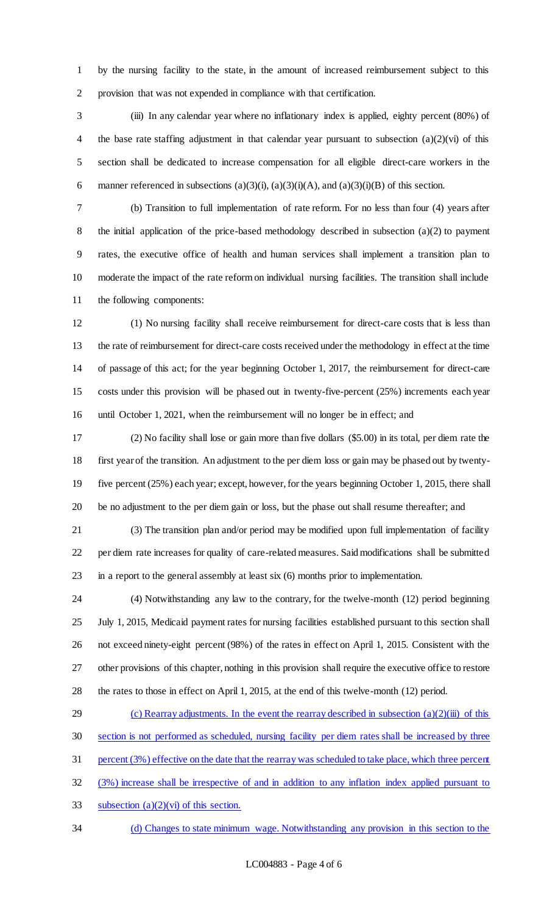by the nursing facility to the state, in the amount of increased reimbursement subject to this provision that was not expended in compliance with that certification.

 (iii) In any calendar year where no inflationary index is applied, eighty percent (80%) of the base rate staffing adjustment in that calendar year pursuant to subsection (a)(2)(vi) of this section shall be dedicated to increase compensation for all eligible direct-care workers in the 6 manner referenced in subsections  $(a)(3)(i)$ ,  $(a)(3)(i)(A)$ , and  $(a)(3)(i)(B)$  of this section.

 (b) Transition to full implementation of rate reform. For no less than four (4) years after the initial application of the price-based methodology described in subsection (a)(2) to payment rates, the executive office of health and human services shall implement a transition plan to moderate the impact of the rate reform on individual nursing facilities. The transition shall include the following components:

 (1) No nursing facility shall receive reimbursement for direct-care costs that is less than the rate of reimbursement for direct-care costs received under the methodology in effect at the time of passage of this act; for the year beginning October 1, 2017, the reimbursement for direct-care costs under this provision will be phased out in twenty-five-percent (25%) increments each year until October 1, 2021, when the reimbursement will no longer be in effect; and

 (2) No facility shall lose or gain more than five dollars (\$5.00) in its total, per diem rate the first year of the transition. An adjustment to the per diem loss or gain may be phased out by twenty- five percent (25%) each year; except, however, for the years beginning October 1, 2015, there shall be no adjustment to the per diem gain or loss, but the phase out shall resume thereafter; and

 (3) The transition plan and/or period may be modified upon full implementation of facility per diem rate increases for quality of care-related measures. Said modifications shall be submitted in a report to the general assembly at least six (6) months prior to implementation.

 (4) Notwithstanding any law to the contrary, for the twelve-month (12) period beginning July 1, 2015, Medicaid payment rates for nursing facilities established pursuant to this section shall not exceed ninety-eight percent (98%) of the rates in effect on April 1, 2015. Consistent with the other provisions of this chapter, nothing in this provision shall require the executive office to restore the rates to those in effect on April 1, 2015, at the end of this twelve-month (12) period.

29 (c) Rearray adjustments. In the event the rearray described in subsection  $(a)(2)(iii)$  of this section is not performed as scheduled, nursing facility per diem rates shall be increased by three percent (3%) effective on the date that the rearray was scheduled to take place, which three percent (3%) increase shall be irrespective of and in addition to any inflation index applied pursuant to 33 subsection  $(a)(2)(vi)$  of this section. (d) Changes to state minimum wage. Notwithstanding any provision in this section to the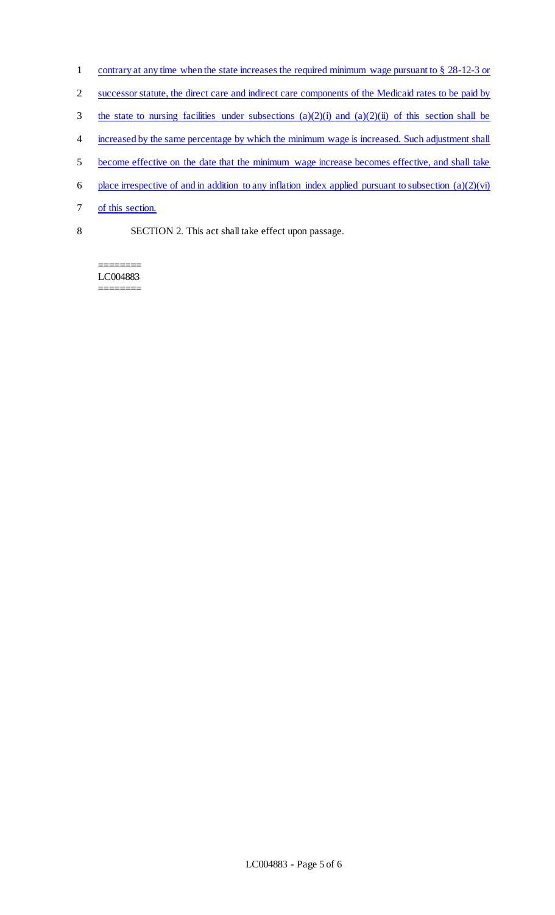- 1 contrary at any time when the state increases the required minimum wage pursuant to § 28-12-3 or
- 2 successor statute, the direct care and indirect care components of the Medicaid rates to be paid by
- 3 the state to nursing facilities under subsections  $(a)(2)(i)$  and  $(a)(2)(ii)$  of this section shall be
- 4 increased by the same percentage by which the minimum wage is increased. Such adjustment shall
- 5 become effective on the date that the minimum wage increase becomes effective, and shall take
- 6 place irrespective of and in addition to any inflation index applied pursuant to subsection  $(a)(2)(vi)$
- 7 of this section.
- 8 SECTION 2. This act shall take effect upon passage.

LC004883 ========

========